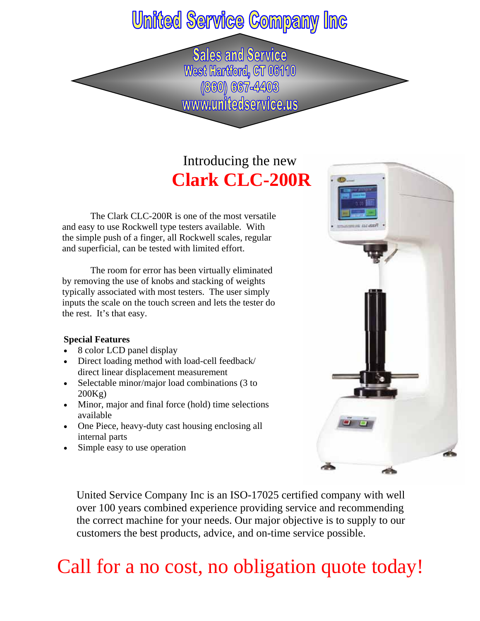### **United Service Company Inc**

**Sales and Service** West Hartford, CT 06110 (860) 667-4403 www.unitedservice.us

### Introducing the new **Clark CLC-200R**

The Clark CLC-200R is one of the most versatile and easy to use Rockwell type testers available. With the simple push of a finger, all Rockwell scales, regular and superficial, can be tested with limited effort.

 The room for error has been virtually eliminated by removing the use of knobs and stacking of weights typically associated with most testers. The user simply inputs the scale on the touch screen and lets the tester do the rest. It's that easy.

#### **Special Features**

- 8 color LCD panel display
- Direct loading method with load-cell feedback/ direct linear displacement measurement
- Selectable minor/major load combinations (3 to 200Kg)
- Minor, major and final force (hold) time selections available
- One Piece, heavy-duty cast housing enclosing all internal parts
- Simple easy to use operation



United Service Company Inc is an ISO-17025 certified company with well over 100 years combined experience providing service and recommending the correct machine for your needs. Our major objective is to supply to our customers the best products, advice, and on-time service possible.

## Call for a no cost, no obligation quote today!